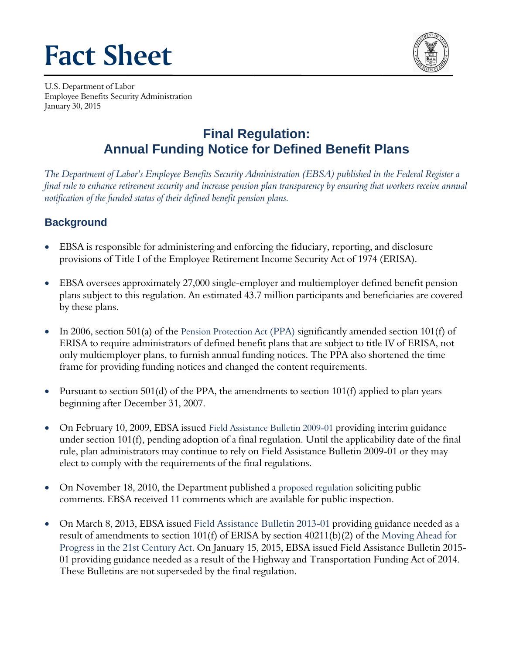# **Fact Sheet**



U.S. Department of Labor Employee Benefits Security Administration January 30, 2015

# **Final Regulation: Annual Funding Notice for Defined Benefit Plans**

*The Department of Labor's Employee Benefits Security Administration (EBSA) published in the Federal Register a final rule to enhance retirement security and increase pension plan transparency by ensuring that workers receive annual notification of the funded status of their defined benefit pension plans.* 

## **Background**

- EBSA is responsible for administering and enforcing the fiduciary, reporting, and disclosure provisions of Title I of the Employee Retirement Income Security Act of 1974 (ERISA).
- EBSA oversees approximately 27,000 single-employer and multiemployer defined benefit pension plans subject to this regulation. An estimated 43.7 million participants and beneficiaries are covered by these plans.
- In 2006, section 501(a) of the [Pension Protection Act](http://www.dol.gov/ebsa/pensionreform.html) (PPA) significantly amended section 101(f) of ERISA to require administrators of defined benefit plans that are subject to title IV of ERISA, not only multiemployer plans, to furnish annual funding notices. The PPA also shortened the time frame for providing funding notices and changed the content requirements.
- Pursuant to section 501(d) of the PPA, the amendments to section 101(f) applied to plan years beginning after December 31, 2007.
- On February 10, 2009, EBSA issued Field Assistance [Bulletin 2009-01](http://www.dol.gov/ebsa/regs/fab2009-1.html) providing interim guidance under section 101(f), pending adoption of a final regulation. Until the applicability date of the final rule, plan administrators may continue to rely on Field Assistance Bulletin 2009-01 or they may elect to comply with the requirements of the final regulations.
- On November 18, 2010, the Department published a [proposed regulation](http://www.dol.gov/ebsa/regs/cmt-1210-AB18.html) soliciting public comments. EBSA received 11 comments which are available for public inspection.
- On March 8, 2013, EBSA issued [Field Assistance Bulletin 2013-01](http://www.dol.gov/ebsa/regs/fab2013-1.html) providing guidance needed as a result of amendments to section 101(f) of ERISA by section 40211(b)(2) of the [Moving Ahead for](http://www.gpo.gov/fdsys/pkg/BILLS-112hr4348enr/pdf/BILLS-112hr4348enr.pdf) [Progress in the 21st Century Act.](http://www.gpo.gov/fdsys/pkg/BILLS-112hr4348enr/pdf/BILLS-112hr4348enr.pdf) On January 15, 2015, EBSA issued Field Assistance Bulletin 2015- 01 providing guidance needed as a result of the Highway and Transportation Funding Act of 2014. These Bulletins are not superseded by the final regulation.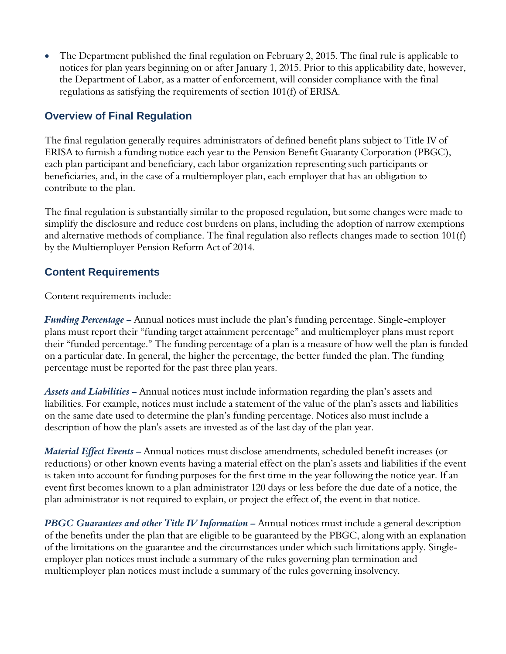The Department published the final regulation on February 2, 2015. The final rule is applicable to notices for plan years beginning on or after January 1, 2015. Prior to this applicability date, however, the Department of Labor, as a matter of enforcement, will consider compliance with the final regulations as satisfying the requirements of section 101(f) of ERISA.

#### **Overview of Final Regulation**

The final regulation generally requires administrators of defined benefit plans subject to Title IV of ERISA to furnish a funding notice each year to the Pension Benefit Guaranty Corporation (PBGC), each plan participant and beneficiary, each labor organization representing such participants or beneficiaries, and, in the case of a multiemployer plan, each employer that has an obligation to contribute to the plan.

The final regulation is substantially similar to the proposed regulation, but some changes were made to simplify the disclosure and reduce cost burdens on plans, including the adoption of narrow exemptions and alternative methods of compliance. The final regulation also reflects changes made to section 101(f) by the Multiemployer Pension Reform Act of 2014.

#### **Content Requirements**

Content requirements include:

*Funding Percentage –* Annual notices must include the plan's funding percentage. Single-employer plans must report their "funding target attainment percentage" and multiemployer plans must report their "funded percentage." The funding percentage of a plan is a measure of how well the plan is funded on a particular date. In general, the higher the percentage, the better funded the plan. The funding percentage must be reported for the past three plan years.

*Assets and Liabilities –* Annual notices must include information regarding the plan's assets and liabilities. For example, notices must include a statement of the value of the plan's assets and liabilities on the same date used to determine the plan's funding percentage. Notices also must include a description of how the plan's assets are invested as of the last day of the plan year.

*Material Effect Events –* Annual notices must disclose amendments, scheduled benefit increases (or reductions) or other known events having a material effect on the plan's assets and liabilities if the event is taken into account for funding purposes for the first time in the year following the notice year. If an event first becomes known to a plan administrator 120 days or less before the due date of a notice, the plan administrator is not required to explain, or project the effect of, the event in that notice.

*PBGC Guarantees and other Title IV Information –* Annual notices must include a general description of the benefits under the plan that are eligible to be guaranteed by the PBGC, along with an explanation of the limitations on the guarantee and the circumstances under which such limitations apply. Singleemployer plan notices must include a summary of the rules governing plan termination and multiemployer plan notices must include a summary of the rules governing insolvency.